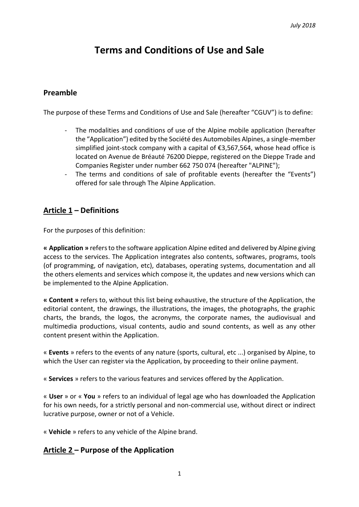# **Terms and Conditions of Use and Sale**

### **Preamble**

The purpose of these Terms and Conditions of Use and Sale (hereafter "CGUV") is to define:

- The modalities and conditions of use of the Alpine mobile application (hereafter the "Application") edited by the Société des Automobiles Alpines, a single-member simplified joint-stock company with a capital of €3,567,564, whose head office is located on Avenue de Bréauté 76200 Dieppe, registered on the Dieppe Trade and Companies Register under number 662 750 074 (hereafter "ALPINE");
- The terms and conditions of sale of profitable events (hereafter the "Events") offered for sale through The Alpine Application.

# **Article 1 – Definitions**

For the purposes of this definition:

**« Application »** refers to the software application Alpine edited and delivered by Alpine giving access to the services. The Application integrates also contents, softwares, programs, tools (of programming, of navigation, etc), databases, operating systems, documentation and all the others elements and services which compose it, the updates and new versions which can be implemented to the Alpine Application.

**« Content »** refers to, without this list being exhaustive, the structure of the Application, the editorial content, the drawings, the illustrations, the images, the photographs, the graphic charts, the brands, the logos, the acronyms, the corporate names, the audiovisual and multimedia productions, visual contents, audio and sound contents, as well as any other content present within the Application.

« **Events** » refers to the events of any nature (sports, cultural, etc ...) organised by Alpine, to which the User can register via the Application, by proceeding to their online payment.

« **Services** » refers to the various features and services offered by the Application.

« **User** » or « **You** » refers to an individual of legal age who has downloaded the Application for his own needs, for a strictly personal and non-commercial use, without direct or indirect lucrative purpose, owner or not of a Vehicle.

« **Vehicle** » refers to any vehicle of the Alpine brand.

# **Article 2 – Purpose of the Application**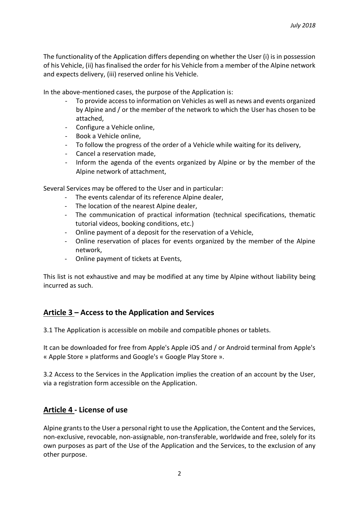The functionality of the Application differs depending on whether the User (i) is in possession of his Vehicle, (ii) has finalised the order for his Vehicle from a member of the Alpine network and expects delivery, (iii) reserved online his Vehicle.

In the above-mentioned cases, the purpose of the Application is:

- To provide access to information on Vehicles as well as news and events organized by Alpine and / or the member of the network to which the User has chosen to be attached,
- Configure a Vehicle online,
- Book a Vehicle online,
- To follow the progress of the order of a Vehicle while waiting for its delivery,
- Cancel a reservation made,
- Inform the agenda of the events organized by Alpine or by the member of the Alpine network of attachment,

Several Services may be offered to the User and in particular:

- The events calendar of its reference Alpine dealer,
- The location of the nearest Alpine dealer,
- The communication of practical information (technical specifications, thematic tutorial videos, booking conditions, etc.)
- Online payment of a deposit for the reservation of a Vehicle,
- Online reservation of places for events organized by the member of the Alpine network,
- Online payment of tickets at Events,

This list is not exhaustive and may be modified at any time by Alpine without liability being incurred as such.

# **Article 3 – Access to the Application and Services**

3.1 The Application is accessible on mobile and compatible phones or tablets.

It can be downloaded for free from Apple's Apple iOS and / or Android terminal from Apple's « Apple Store » platforms and Google's « Google Play Store ».

3.2 Access to the Services in the Application implies the creation of an account by the User, via a registration form accessible on the Application.

### **Article 4 - License of use**

Alpine grants to the User a personal right to use the Application, the Content and the Services, non-exclusive, revocable, non-assignable, non-transferable, worldwide and free, solely for its own purposes as part of the Use of the Application and the Services, to the exclusion of any other purpose.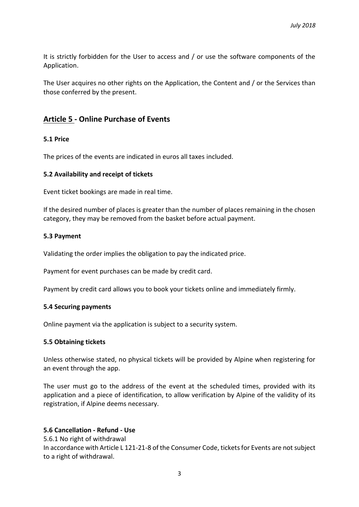It is strictly forbidden for the User to access and / or use the software components of the Application.

The User acquires no other rights on the Application, the Content and / or the Services than those conferred by the present.

### **Article 5 - Online Purchase of Events**

#### **5.1 Price**

The prices of the events are indicated in euros all taxes included.

#### **5.2 Availability and receipt of tickets**

Event ticket bookings are made in real time.

If the desired number of places is greater than the number of places remaining in the chosen category, they may be removed from the basket before actual payment.

#### **5.3 Payment**

Validating the order implies the obligation to pay the indicated price.

Payment for event purchases can be made by credit card.

Payment by credit card allows you to book your tickets online and immediately firmly.

#### **5.4 Securing payments**

Online payment via the application is subject to a security system.

#### **5.5 Obtaining tickets**

Unless otherwise stated, no physical tickets will be provided by Alpine when registering for an event through the app.

The user must go to the address of the event at the scheduled times, provided with its application and a piece of identification, to allow verification by Alpine of the validity of its registration, if Alpine deems necessary.

#### **5.6 Cancellation - Refund - Use**

5.6.1 No right of withdrawal

In accordance with Article L 121-21-8 of the Consumer Code, tickets for Events are not subject to a right of withdrawal.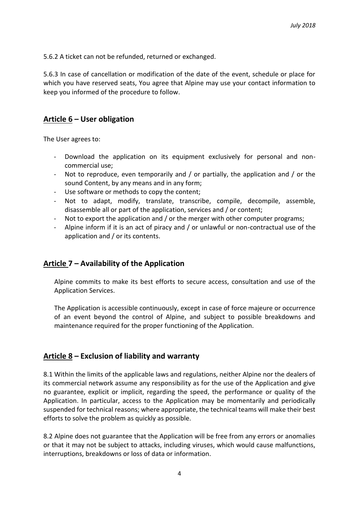5.6.2 A ticket can not be refunded, returned or exchanged.

5.6.3 In case of cancellation or modification of the date of the event, schedule or place for which you have reserved seats, You agree that Alpine may use your contact information to keep you informed of the procedure to follow.

### **Article 6 – User obligation**

The User agrees to:

- Download the application on its equipment exclusively for personal and noncommercial use;
- Not to reproduce, even temporarily and / or partially, the application and / or the sound Content, by any means and in any form;
- Use software or methods to copy the content;
- Not to adapt, modify, translate, transcribe, compile, decompile, assemble, disassemble all or part of the application, services and / or content;
- Not to export the application and / or the merger with other computer programs;
- Alpine inform if it is an act of piracy and / or unlawful or non-contractual use of the application and / or its contents.

# **Article 7 – Availability of the Application**

Alpine commits to make its best efforts to secure access, consultation and use of the Application Services.

The Application is accessible continuously, except in case of force majeure or occurrence of an event beyond the control of Alpine, and subject to possible breakdowns and maintenance required for the proper functioning of the Application.

# **Article 8 – Exclusion of liability and warranty**

8.1 Within the limits of the applicable laws and regulations, neither Alpine nor the dealers of its commercial network assume any responsibility as for the use of the Application and give no guarantee, explicit or implicit, regarding the speed, the performance or quality of the Application. In particular, access to the Application may be momentarily and periodically suspended for technical reasons; where appropriate, the technical teams will make their best efforts to solve the problem as quickly as possible.

8.2 Alpine does not guarantee that the Application will be free from any errors or anomalies or that it may not be subject to attacks, including viruses, which would cause malfunctions, interruptions, breakdowns or loss of data or information.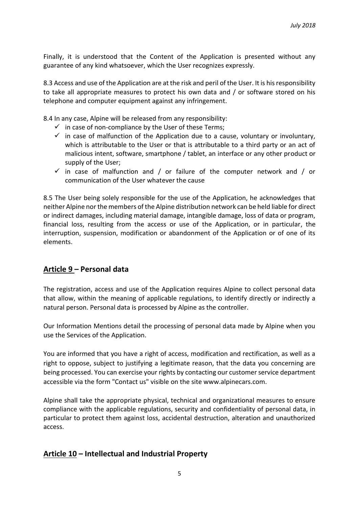Finally, it is understood that the Content of the Application is presented without any guarantee of any kind whatsoever, which the User recognizes expressly.

8.3 Access and use of the Application are at the risk and peril of the User. It is his responsibility to take all appropriate measures to protect his own data and / or software stored on his telephone and computer equipment against any infringement.

8.4 In any case, Alpine will be released from any responsibility:

- $\checkmark$  in case of non-compliance by the User of these Terms;
- $\checkmark$  in case of malfunction of the Application due to a cause, voluntary or involuntary, which is attributable to the User or that is attributable to a third party or an act of malicious intent, software, smartphone / tablet, an interface or any other product or supply of the User;
- $\checkmark$  in case of malfunction and / or failure of the computer network and / or communication of the User whatever the cause

8.5 The User being solely responsible for the use of the Application, he acknowledges that neither Alpine nor the members of the Alpine distribution network can be held liable for direct or indirect damages, including material damage, intangible damage, loss of data or program, financial loss, resulting from the access or use of the Application, or in particular, the interruption, suspension, modification or abandonment of the Application or of one of its elements.

# **Article 9 – Personal data**

The registration, access and use of the Application requires Alpine to collect personal data that allow, within the meaning of applicable regulations, to identify directly or indirectly a natural person. Personal data is processed by Alpine as the controller.

Our Information Mentions detail the processing of personal data made by Alpine when you use the Services of the Application.

You are informed that you have a right of access, modification and rectification, as well as a right to oppose, subject to justifying a legitimate reason, that the data you concerning are being processed. You can exercise your rights by contacting our customer service department accessible via the form "Contact us" visible on the site www.alpinecars.com.

Alpine shall take the appropriate physical, technical and organizational measures to ensure compliance with the applicable regulations, security and confidentiality of personal data, in particular to protect them against loss, accidental destruction, alteration and unauthorized access.

# **Article 10 – Intellectual and Industrial Property**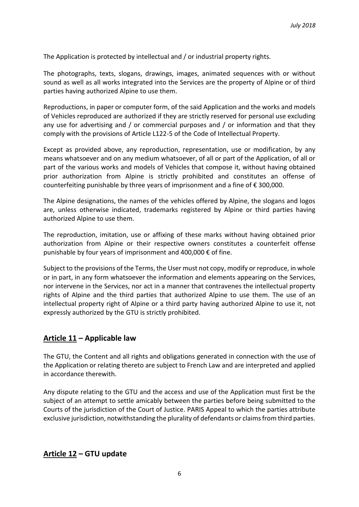The Application is protected by intellectual and / or industrial property rights.

The photographs, texts, slogans, drawings, images, animated sequences with or without sound as well as all works integrated into the Services are the property of Alpine or of third parties having authorized Alpine to use them.

Reproductions, in paper or computer form, of the said Application and the works and models of Vehicles reproduced are authorized if they are strictly reserved for personal use excluding any use for advertising and / or commercial purposes and / or information and that they comply with the provisions of Article L122-5 of the Code of Intellectual Property.

Except as provided above, any reproduction, representation, use or modification, by any means whatsoever and on any medium whatsoever, of all or part of the Application, of all or part of the various works and models of Vehicles that compose it, without having obtained prior authorization from Alpine is strictly prohibited and constitutes an offense of counterfeiting punishable by three years of imprisonment and a fine of € 300,000.

The Alpine designations, the names of the vehicles offered by Alpine, the slogans and logos are, unless otherwise indicated, trademarks registered by Alpine or third parties having authorized Alpine to use them.

The reproduction, imitation, use or affixing of these marks without having obtained prior authorization from Alpine or their respective owners constitutes a counterfeit offense punishable by four years of imprisonment and 400,000 € of fine.

Subject to the provisions of the Terms, the User must not copy, modify or reproduce, in whole or in part, in any form whatsoever the information and elements appearing on the Services, nor intervene in the Services, nor act in a manner that contravenes the intellectual property rights of Alpine and the third parties that authorized Alpine to use them. The use of an intellectual property right of Alpine or a third party having authorized Alpine to use it, not expressly authorized by the GTU is strictly prohibited.

# **Article 11 – Applicable law**

The GTU, the Content and all rights and obligations generated in connection with the use of the Application or relating thereto are subject to French Law and are interpreted and applied in accordance therewith.

Any dispute relating to the GTU and the access and use of the Application must first be the subject of an attempt to settle amicably between the parties before being submitted to the Courts of the jurisdiction of the Court of Justice. PARIS Appeal to which the parties attribute exclusive jurisdiction, notwithstanding the plurality of defendants or claims from third parties.

### **Article 12 – GTU update**